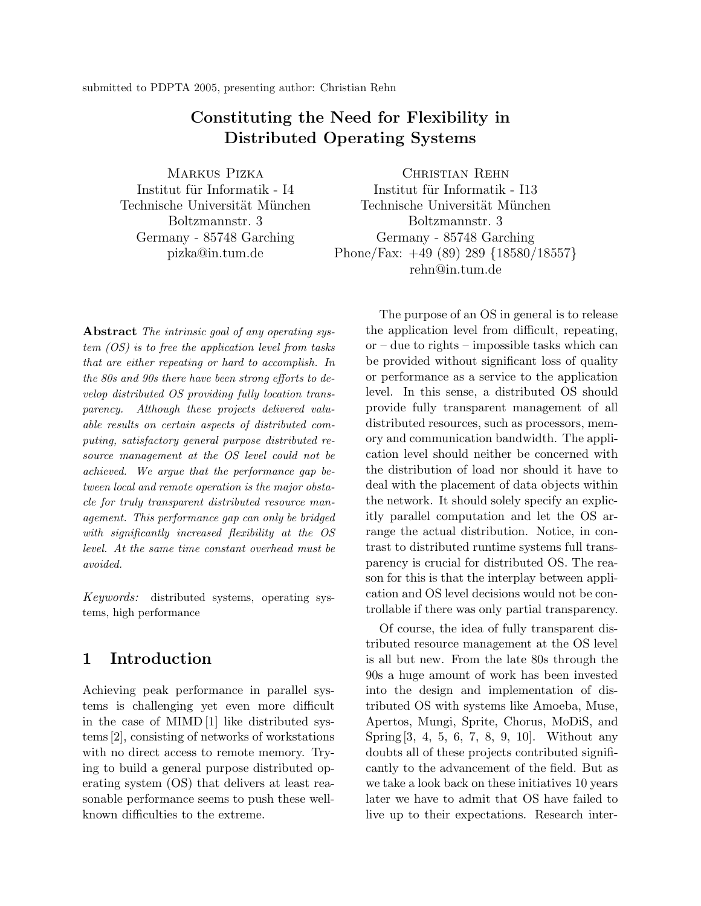# **Constituting the Need for Flexibility in Distributed Operating Systems**

Markus Pizka Institut für Informatik - I4 Technische Universität München Boltzmannstr. 3 Germany - 85748 Garching pizka@in.tum.de

Christian Rehn Institut für Informatik - I13 Technische Universität München Boltzmannstr. 3 Germany - 85748 Garching Phone/Fax: +49 (89) 289 {18580/18557} rehn@in.tum.de

**Abstract** *The intrinsic goal of any operating system (OS) is to free the application level from tasks that are either repeating or hard to accomplish. In the 80s and 90s there have been strong efforts to develop distributed OS providing fully location transparency. Although these projects delivered valuable results on certain aspects of distributed computing, satisfactory general purpose distributed resource management at the OS level could not be achieved. We argue that the performance gap between local and remote operation is the major obstacle for truly transparent distributed resource management. This performance gap can only be bridged with significantly increased flexibility at the OS level. At the same time constant overhead must be avoided.*

*Keywords:* distributed systems, operating systems, high performance

# **1 Introduction**

Achieving peak performance in parallel systems is challenging yet even more difficult in the case of MIMD [1] like distributed systems [2], consisting of networks of workstations with no direct access to remote memory. Trying to build a general purpose distributed operating system (OS) that delivers at least reasonable performance seems to push these wellknown difficulties to the extreme.

The purpose of an OS in general is to release the application level from difficult, repeating, or – due to rights – impossible tasks which can be provided without significant loss of quality or performance as a service to the application level. In this sense, a distributed OS should provide fully transparent management of all distributed resources, such as processors, memory and communication bandwidth. The application level should neither be concerned with the distribution of load nor should it have to deal with the placement of data objects within the network. It should solely specify an explicitly parallel computation and let the OS arrange the actual distribution. Notice, in contrast to distributed runtime systems full transparency is crucial for distributed OS. The reason for this is that the interplay between application and OS level decisions would not be controllable if there was only partial transparency.

Of course, the idea of fully transparent distributed resource management at the OS level is all but new. From the late 80s through the 90s a huge amount of work has been invested into the design and implementation of distributed OS with systems like Amoeba, Muse, Apertos, Mungi, Sprite, Chorus, MoDiS, and Spring[3, 4, 5, 6, 7, 8, 9, 10]. Without any doubts all of these projects contributed significantly to the advancement of the field. But as we take a look back on these initiatives 10 years later we have to admit that OS have failed to live up to their expectations. Research inter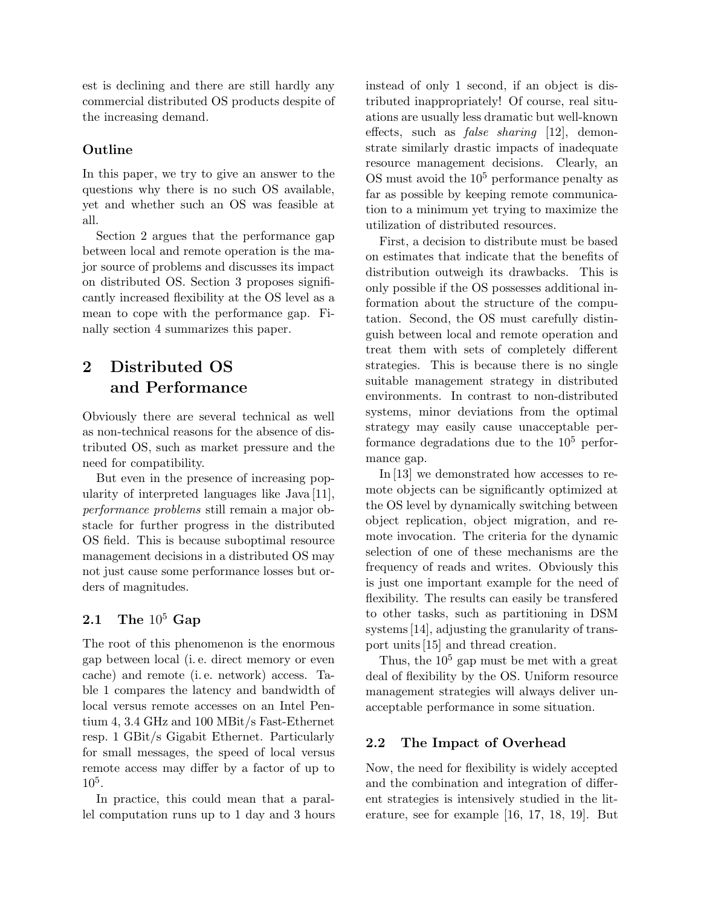est is declining and there are still hardly any commercial distributed OS products despite of the increasing demand.

### **Outline**

In this paper, we try to give an answer to the questions why there is no such OS available, yet and whether such an OS was feasible at all.

Section 2 argues that the performance gap between local and remote operation is the major source of problems and discusses its impact on distributed OS. Section 3 proposes significantly increased flexibility at the OS level as a mean to cope with the performance gap. Finally section 4 summarizes this paper.

# **2 Distributed OS and Performance**

Obviously there are several technical as well as non-technical reasons for the absence of distributed OS, such as market pressure and the need for compatibility.

But even in the presence of increasing popularity of interpreted languages like Java [11], *performance problems* still remain a major obstacle for further progress in the distributed OS field. This is because suboptimal resource management decisions in a distributed OS may not just cause some performance losses but orders of magnitudes.

# **2.1 The** 10<sup>5</sup> **Gap**

The root of this phenomenon is the enormous gap between local (i. e. direct memory or even cache) and remote (i. e. network) access. Table 1 compares the latency and bandwidth of local versus remote accesses on an Intel Pentium 4, 3.4 GHz and 100 MBit/s Fast-Ethernet resp. 1 GBit/s Gigabit Ethernet. Particularly for small messages, the speed of local versus remote access may differ by a factor of up to 105.

In practice, this could mean that a parallel computation runs up to 1 day and 3 hours instead of only 1 second, if an object is distributed inappropriately! Of course, real situations are usually less dramatic but well-known effects, such as *false sharing* [12], demonstrate similarly drastic impacts of inadequate resource management decisions. Clearly, an OS must avoid the  $10<sup>5</sup>$  performance penalty as far as possible by keeping remote communication to a minimum yet trying to maximize the utilization of distributed resources.

First, a decision to distribute must be based on estimates that indicate that the benefits of distribution outweigh its drawbacks. This is only possible if the OS possesses additional information about the structure of the computation. Second, the OS must carefully distinguish between local and remote operation and treat them with sets of completely different strategies. This is because there is no single suitable management strategy in distributed environments. In contrast to non-distributed systems, minor deviations from the optimal strategy may easily cause unacceptable performance degradations due to the  $10<sup>5</sup>$  performance gap.

In [13] we demonstrated how accesses to remote objects can be significantly optimized at the OS level by dynamically switching between object replication, object migration, and remote invocation. The criteria for the dynamic selection of one of these mechanisms are the frequency of reads and writes. Obviously this is just one important example for the need of flexibility. The results can easily be transfered to other tasks, such as partitioning in DSM systems [14], adjusting the granularity of transport units [15] and thread creation.

Thus, the  $10^5$  gap must be met with a great deal of flexibility by the OS. Uniform resource management strategies will always deliver unacceptable performance in some situation.

### **2.2 The Impact of Overhead**

Now, the need for flexibility is widely accepted and the combination and integration of different strategies is intensively studied in the literature, see for example [16, 17, 18, 19]. But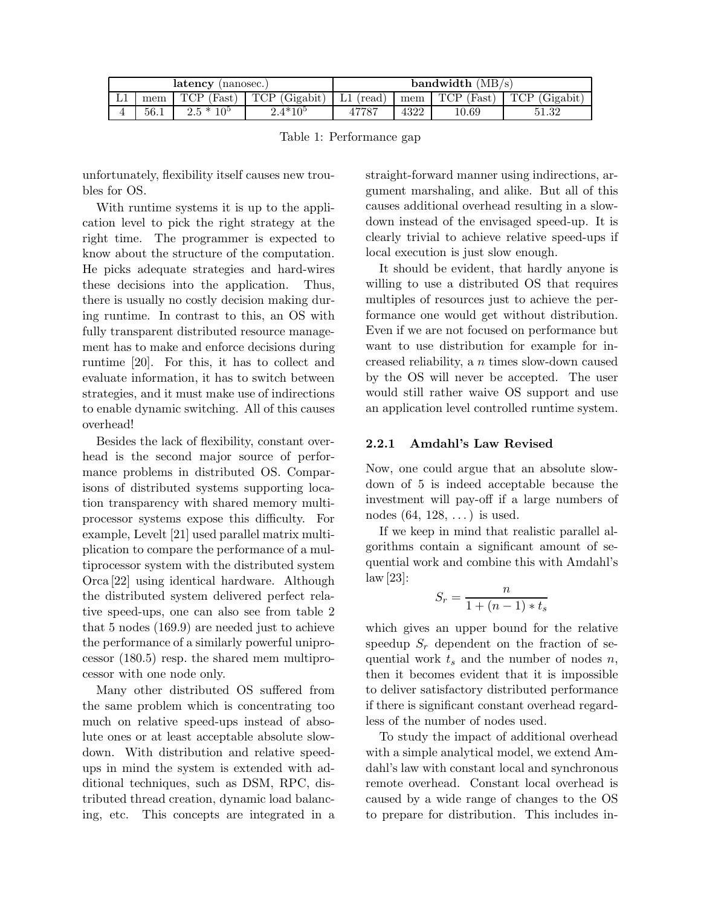| latency<br>(nanosec.) |        |                         |                         | bandwidth $(MB/s)$ |      |                         |                         |  |  |
|-----------------------|--------|-------------------------|-------------------------|--------------------|------|-------------------------|-------------------------|--|--|
| ⊥⊥                    | $m$ em | TCP<br>(Fast)           | <b>TCP</b><br>(Gigabit) | (read)             | mem  | TCP.<br>$(\text{Fast})$ | <b>TCP</b><br>(Gigabit) |  |  |
|                       | 56.1   | つち *<br>10 <sup>5</sup> | $2.4*105$               |                    | 4322 | 10.69                   | 51.99.<br>31.32         |  |  |

Table 1: Performance gap

unfortunately, flexibility itself causes new troubles for OS.

With runtime systems it is up to the application level to pick the right strategy at the right time. The programmer is expected to know about the structure of the computation. He picks adequate strategies and hard-wires these decisions into the application. Thus, there is usually no costly decision making during runtime. In contrast to this, an OS with fully transparent distributed resource management has to make and enforce decisions during runtime [20]. For this, it has to collect and evaluate information, it has to switch between strategies, and it must make use of indirections to enable dynamic switching. All of this causes overhead!

Besides the lack of flexibility, constant overhead is the second major source of performance problems in distributed OS. Comparisons of distributed systems supporting location transparency with shared memory multiprocessor systems expose this difficulty. For example, Levelt [21] used parallel matrix multiplication to compare the performance of a multiprocessor system with the distributed system Orca [22] using identical hardware. Although the distributed system delivered perfect relative speed-ups, one can also see from table 2 that 5 nodes (169.9) are needed just to achieve the performance of a similarly powerful uniprocessor (180.5) resp. the shared mem multiprocessor with one node only.

Many other distributed OS suffered from the same problem which is concentrating too much on relative speed-ups instead of absolute ones or at least acceptable absolute slowdown. With distribution and relative speedups in mind the system is extended with additional techniques, such as DSM, RPC, distributed thread creation, dynamic load balancing, etc. This concepts are integrated in a straight-forward manner using indirections, argument marshaling, and alike. But all of this causes additional overhead resulting in a slowdown instead of the envisaged speed-up. It is clearly trivial to achieve relative speed-ups if local execution is just slow enough.

It should be evident, that hardly anyone is willing to use a distributed OS that requires multiples of resources just to achieve the performance one would get without distribution. Even if we are not focused on performance but want to use distribution for example for increased reliability, a *n* times slow-down caused by the OS will never be accepted. The user would still rather waive OS support and use an application level controlled runtime system.

### **2.2.1 Amdahl's Law Revised**

Now, one could argue that an absolute slowdown of 5 is indeed acceptable because the investment will pay-off if a large numbers of nodes  $(64, 128, \ldots)$  is used.

If we keep in mind that realistic parallel algorithms contain a significant amount of sequential work and combine this with Amdahl's law [23]:

$$
S_r = \frac{n}{1 + (n-1) * t_s}
$$

which gives an upper bound for the relative speedup  $S_r$  dependent on the fraction of sequential work *t<sup>s</sup>* and the number of nodes *n*, then it becomes evident that it is impossible to deliver satisfactory distributed performance if there is significant constant overhead regardless of the number of nodes used.

To study the impact of additional overhead with a simple analytical model, we extend Amdahl's law with constant local and synchronous remote overhead. Constant local overhead is caused by a wide range of changes to the OS to prepare for distribution. This includes in-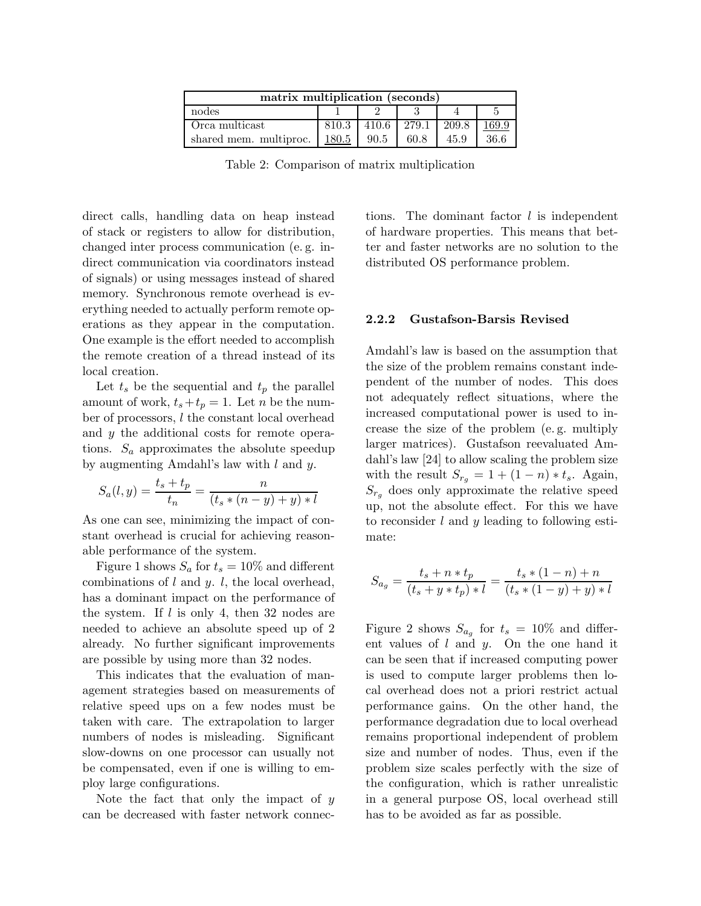| matrix multiplication (seconds) |       |       |       |       |       |  |  |  |  |
|---------------------------------|-------|-------|-------|-------|-------|--|--|--|--|
| nodes                           |       |       |       |       |       |  |  |  |  |
| Orca multicast                  | 810.3 | 410.6 | 279.1 | 209.8 | 169.9 |  |  |  |  |
| shared mem. multiproc.          | 180.5 | 90.5  | 60.8  | 45.9  | 36.6  |  |  |  |  |

Table 2: Comparison of matrix multiplication

direct calls, handling data on heap instead of stack or registers to allow for distribution, changed inter process communication (e. g. indirect communication via coordinators instead of signals) or using messages instead of shared memory. Synchronous remote overhead is everything needed to actually perform remote operations as they appear in the computation. One example is the effort needed to accomplish the remote creation of a thread instead of its local creation.

Let  $t_s$  be the sequential and  $t_p$  the parallel amount of work,  $t_s + t_p = 1$ . Let *n* be the number of processors, *l* the constant local overhead and *y* the additional costs for remote operations.  $S_a$  approximates the absolute speedup by augmenting Amdahl's law with *l* and *y*.

$$
S_a(l, y) = \frac{t_s + t_p}{t_n} = \frac{n}{(t_s * (n - y) + y) * l}
$$

As one can see, minimizing the impact of constant overhead is crucial for achieving reasonable performance of the system.

Figure 1 shows  $S_a$  for  $t_s = 10\%$  and different combinations of *l* and *y*. *l*, the local overhead, has a dominant impact on the performance of the system. If *l* is only 4, then 32 nodes are needed to achieve an absolute speed up of 2 already. No further significant improvements are possible by using more than 32 nodes.

This indicates that the evaluation of management strategies based on measurements of relative speed ups on a few nodes must be taken with care. The extrapolation to larger numbers of nodes is misleading. Significant slow-downs on one processor can usually not be compensated, even if one is willing to employ large configurations.

Note the fact that only the impact of *y* can be decreased with faster network connec-

tions. The dominant factor *l* is independent of hardware properties. This means that better and faster networks are no solution to the distributed OS performance problem.

#### **2.2.2 Gustafson-Barsis Revised**

Amdahl's law is based on the assumption that the size of the problem remains constant independent of the number of nodes. This does not adequately reflect situations, where the increased computational power is used to increase the size of the problem (e. g. multiply larger matrices). Gustafson reevaluated Amdahl's law [24] to allow scaling the problem size with the result  $S_{r_g} = 1 + (1 - n) * t_s$ . Again,  $S_{r_g}$  does only approximate the relative speed up, not the absolute effect. For this we have to reconsider *l* and *y* leading to following estimate:

$$
S_{a_g} = \frac{t_s + n * t_p}{(t_s + y * t_p) * l} = \frac{t_s * (1 - n) + n}{(t_s * (1 - y) + y) * l}
$$

Figure 2 shows  $S_{a_g}$  for  $t_s = 10\%$  and different values of *l* and *y*. On the one hand it can be seen that if increased computing power is used to compute larger problems then local overhead does not a priori restrict actual performance gains. On the other hand, the performance degradation due to local overhead remains proportional independent of problem size and number of nodes. Thus, even if the problem size scales perfectly with the size of the configuration, which is rather unrealistic in a general purpose OS, local overhead still has to be avoided as far as possible.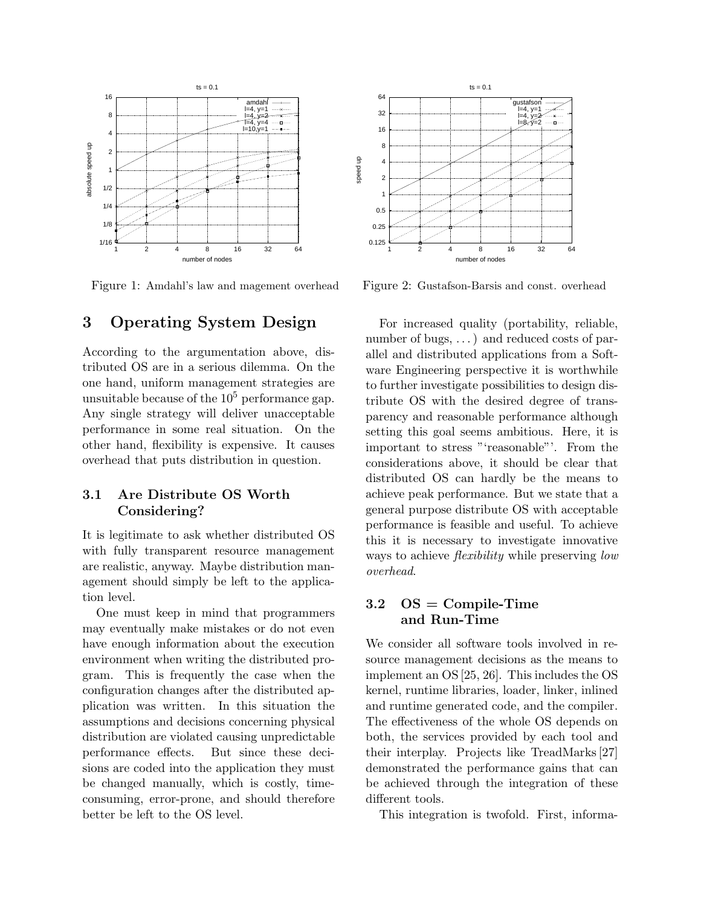

Figure 1: Amdahl's law and magement overhead

# **3 Operating System Design**

According to the argumentation above, distributed OS are in a serious dilemma. On the one hand, uniform management strategies are unsuitable because of the  $10<sup>5</sup>$  performance gap. Any single strategy will deliver unacceptable performance in some real situation. On the other hand, flexibility is expensive. It causes overhead that puts distribution in question.

### **3.1 Are Distribute OS Worth Considering?**

It is legitimate to ask whether distributed OS with fully transparent resource management are realistic, anyway. Maybe distribution management should simply be left to the application level.

One must keep in mind that programmers may eventually make mistakes or do not even have enough information about the execution environment when writing the distributed program. This is frequently the case when the configuration changes after the distributed application was written. In this situation the assumptions and decisions concerning physical distribution are violated causing unpredictable performance effects. But since these decisions are coded into the application they must be changed manually, which is costly, timeconsuming, error-prone, and should therefore better be left to the OS level.



Figure 2: Gustafson-Barsis and const. overhead

For increased quality (portability, reliable, number of bugs, ...) and reduced costs of parallel and distributed applications from a Software Engineering perspective it is worthwhile to further investigate possibilities to design distribute OS with the desired degree of transparency and reasonable performance although setting this goal seems ambitious. Here, it is important to stress "'reasonable"'. From the considerations above, it should be clear that distributed OS can hardly be the means to achieve peak performance. But we state that a general purpose distribute OS with acceptable performance is feasible and useful. To achieve this it is necessary to investigate innovative ways to achieve *flexibility* while preserving *low overhead*.

### **3.2 OS = Compile-Time and Run-Time**

We consider all software tools involved in resource management decisions as the means to implement an OS [25, 26]. This includes the OS kernel, runtime libraries, loader, linker, inlined and runtime generated code, and the compiler. The effectiveness of the whole OS depends on both, the services provided by each tool and their interplay. Projects like TreadMarks [27] demonstrated the performance gains that can be achieved through the integration of these different tools.

This integration is twofold. First, informa-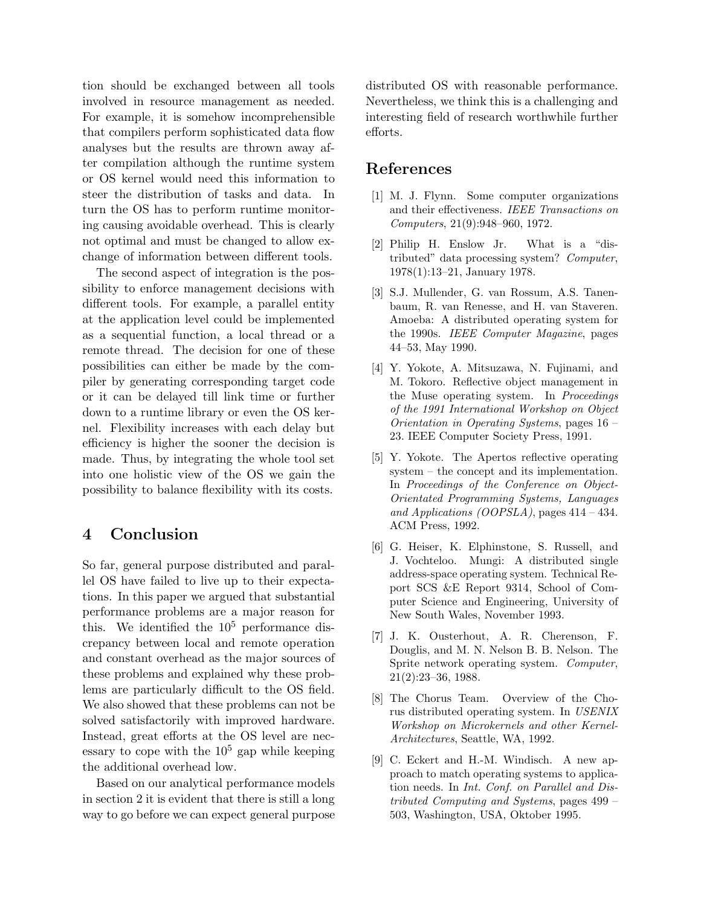tion should be exchanged between all tools involved in resource management as needed. For example, it is somehow incomprehensible that compilers perform sophisticated data flow analyses but the results are thrown away after compilation although the runtime system or OS kernel would need this information to steer the distribution of tasks and data. In turn the OS has to perform runtime monitoring causing avoidable overhead. This is clearly not optimal and must be changed to allow exchange of information between different tools.

The second aspect of integration is the possibility to enforce management decisions with different tools. For example, a parallel entity at the application level could be implemented as a sequential function, a local thread or a remote thread. The decision for one of these possibilities can either be made by the compiler by generating corresponding target code or it can be delayed till link time or further down to a runtime library or even the OS kernel. Flexibility increases with each delay but efficiency is higher the sooner the decision is made. Thus, by integrating the whole tool set into one holistic view of the OS we gain the possibility to balance flexibility with its costs.

# **4 Conclusion**

So far, general purpose distributed and parallel OS have failed to live up to their expectations. In this paper we argued that substantial performance problems are a major reason for this. We identified the  $10^5$  performance discrepancy between local and remote operation and constant overhead as the major sources of these problems and explained why these problems are particularly difficult to the OS field. We also showed that these problems can not be solved satisfactorily with improved hardware. Instead, great efforts at the OS level are necessary to cope with the  $10<sup>5</sup>$  gap while keeping the additional overhead low.

Based on our analytical performance models in section 2 it is evident that there is still a long way to go before we can expect general purpose

distributed OS with reasonable performance. Nevertheless, we think this is a challenging and interesting field of research worthwhile further efforts.

# **References**

- [1] M. J. Flynn. Some computer organizations and their effectiveness. *IEEE Transactions on Computers*, 21(9):948–960, 1972.
- [2] Philip H. Enslow Jr. What is a "distributed" data processing system? *Computer*, 1978(1):13–21, January 1978.
- [3] S.J. Mullender, G. van Rossum, A.S. Tanenbaum, R. van Renesse, and H. van Staveren. Amoeba: A distributed operating system for the 1990s. *IEEE Computer Magazine*, pages 44–53, May 1990.
- [4] Y. Yokote, A. Mitsuzawa, N. Fujinami, and M. Tokoro. Reflective object management in the Muse operating system. In *Proceedings of the 1991 International Workshop on Object Orientation in Operating Systems*, pages 16 – 23. IEEE Computer Society Press, 1991.
- [5] Y. Yokote. The Apertos reflective operating system – the concept and its implementation. In *Proceedings of the Conference on Object-Orientated Programming Systems, Languages and Applications (OOPSLA)*, pages 414 – 434. ACM Press, 1992.
- [6] G. Heiser, K. Elphinstone, S. Russell, and J. Vochteloo. Mungi: A distributed single address-space operating system. Technical Report SCS &E Report 9314, School of Computer Science and Engineering, University of New South Wales, November 1993.
- [7] J. K. Ousterhout, A. R. Cherenson, F. Douglis, and M. N. Nelson B. B. Nelson. The Sprite network operating system. *Computer*, 21(2):23–36, 1988.
- [8] The Chorus Team. Overview of the Chorus distributed operating system. In *USENIX Workshop on Microkernels and other Kernel-Architectures*, Seattle, WA, 1992.
- [9] C. Eckert and H.-M. Windisch. A new approach to match operating systems to application needs. In *Int. Conf. on Parallel and Distributed Computing and Systems*, pages 499 – 503, Washington, USA, Oktober 1995.